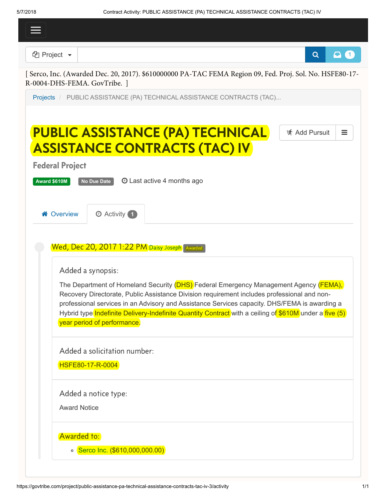| 112010                                        | CONTRACT ACTIVITY. I ODEIC AGOIO IANCE (I A) TECHNICAE AGOIO IANCE CONTRACTO (IAC) IV                                                                                                        |                                      |
|-----------------------------------------------|----------------------------------------------------------------------------------------------------------------------------------------------------------------------------------------------|--------------------------------------|
|                                               |                                                                                                                                                                                              |                                      |
| <b><i><sup>C</sup></i></b> Project ▼          |                                                                                                                                                                                              | $\mathbf{\Omega}$ (1)<br>$\mathbf Q$ |
| R-0004-DHS-FEMA. GovTribe. ]                  | [ Serco, Inc. (Awarded Dec. 20, 2017). \$610000000 PA-TAC FEMA Region 09, Fed. Proj. Sol. No. HSFE80-17-                                                                                     |                                      |
|                                               | Projects / PUBLIC ASSISTANCE (PA) TECHNICAL ASSISTANCE CONTRACTS (TAC)                                                                                                                       |                                      |
|                                               |                                                                                                                                                                                              |                                      |
|                                               | <b>PUBLIC ASSISTANCE (PA) TECHNICAL</b>                                                                                                                                                      | <b>ず Add Pursuit</b><br>Ξ            |
|                                               | <b>ASSISTANCE CONTRACTS (TAC) IV</b>                                                                                                                                                         |                                      |
| <b>Federal Project</b><br><b>Award \$610M</b> | <b>O</b> Last active 4 months ago<br>No Due Date                                                                                                                                             |                                      |
|                                               |                                                                                                                                                                                              |                                      |
| <b>谷 Overview</b>                             | <b>O</b> Activity 1                                                                                                                                                                          |                                      |
|                                               |                                                                                                                                                                                              |                                      |
|                                               | Wed, Dec 20, 2017 1:22 PM Daisy Joseph Awarded                                                                                                                                               |                                      |
|                                               | Added a synopsis:                                                                                                                                                                            |                                      |
|                                               | The Department of Homeland Security (DHS) Federal Emergency Management Agency (FEMA),                                                                                                        |                                      |
|                                               | Recovery Directorate, Public Assistance Division requirement includes professional and non-<br>professional services in an Advisory and Assistance Services capacity. DHS/FEMA is awarding a |                                      |
|                                               | Hybrid type Indefinite Delivery-Indefinite Quantity Contract with a ceiling of \$610M under a five (5)<br>year period of performance.                                                        |                                      |
|                                               |                                                                                                                                                                                              |                                      |
|                                               | Added a solicitation number:                                                                                                                                                                 |                                      |
|                                               | HSFE80-17-R-0004                                                                                                                                                                             |                                      |
|                                               | Added a notice type:                                                                                                                                                                         |                                      |
| <b>Award Notice</b>                           |                                                                                                                                                                                              |                                      |
| Awarded to:                                   |                                                                                                                                                                                              |                                      |
|                                               | ○ Serco Inc. (\$610,000,000.00)                                                                                                                                                              |                                      |
|                                               |                                                                                                                                                                                              |                                      |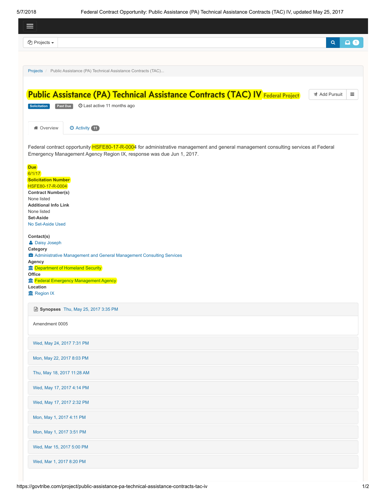<span id="page-1-0"></span> $\overline{\phantom{a}}$ 

| $\Omega$<br><b><sup>4</sup></b> Projects ▼<br>$\alpha$<br>Projects / Public Assistance (PA) Technical Assistance Contracts (TAC)<br><b>Public Assistance (PA) Technical Assistance Contracts (TAC) IV Federal Project</b><br><b>ず Add Pursuit</b><br>$\equiv$                           |
|-----------------------------------------------------------------------------------------------------------------------------------------------------------------------------------------------------------------------------------------------------------------------------------------|
|                                                                                                                                                                                                                                                                                         |
|                                                                                                                                                                                                                                                                                         |
|                                                                                                                                                                                                                                                                                         |
|                                                                                                                                                                                                                                                                                         |
| Past Due<br><b>O</b> Last active 11 months ago<br>Solicitation                                                                                                                                                                                                                          |
|                                                                                                                                                                                                                                                                                         |
| <b>O</b> Activity 11<br><b>备 Overview</b>                                                                                                                                                                                                                                               |
| Federal contract opportunity <b>HSFE80-17-R-0004</b> for administrative management and general management consulting services at Federal<br>Emergency Management Agency Region IX, response was due Jun 1, 2017.                                                                        |
| <b>Due</b><br>6/1/17<br><b>Solicitation Number</b><br>HSFE80-17-R-0004<br><b>Contract Number(s)</b><br>None listed<br><b>Additional Info Link</b><br>None listed<br>Set-Aside<br>No Set-Aside Used                                                                                      |
| Contact(s)<br><b>A</b> Daisy Joseph<br>Category<br><b>E</b> Administrative Management and General Management Consulting Services<br>Agency<br><b>Im</b> Department of Homeland Security<br>Office<br><b>frage Strutus</b> Emergency Management Agency<br>Location<br><b>血 Region IX</b> |
| ■ Synopses Thu, May 25, 2017 3:35 PM                                                                                                                                                                                                                                                    |
| Amendment 0005                                                                                                                                                                                                                                                                          |
| Wed, May 24, 2017 7:31 PM                                                                                                                                                                                                                                                               |
| Mon, May 22, 2017 8:03 PM                                                                                                                                                                                                                                                               |
| Thu, May 18, 2017 11:28 AM                                                                                                                                                                                                                                                              |
| Wed, May 17, 2017 4:14 PM                                                                                                                                                                                                                                                               |
| Wed, May 17, 2017 2:32 PM                                                                                                                                                                                                                                                               |
| Mon, May 1, 2017 4:11 PM                                                                                                                                                                                                                                                                |
| Mon, May 1, 2017 3:51 PM                                                                                                                                                                                                                                                                |
| Wed, Mar 15, 2017 5:00 PM                                                                                                                                                                                                                                                               |
|                                                                                                                                                                                                                                                                                         |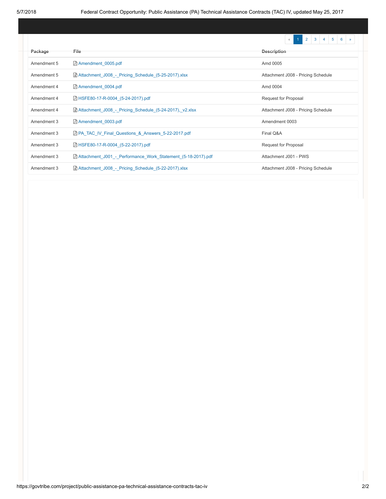|             |                                                                     | $\overline{2}$<br>3<br>5<br>6<br>$\langle\langle$ |
|-------------|---------------------------------------------------------------------|---------------------------------------------------|
| Package     | File                                                                | <b>Description</b>                                |
| Amendment 5 | Amendment 0005.pdf                                                  | Amd 0005                                          |
| Amendment 5 | $\boxed{x}$ Attachment J008 - Pricing Schedule (5-25-2017).xlsx     | Attachment J008 - Pricing Schedule                |
| Amendment 4 | Amendment 0004.pdf                                                  | Amd 0004                                          |
| Amendment 4 | A HSFE80-17-R-0004 (5-24-2017).pdf                                  | Request for Proposal                              |
| Amendment 4 | $\boxed{x}$ Attachment J008 - Pricing Schedule (5-24-2017), v2.xlsx | Attachment J008 - Pricing Schedule                |
| Amendment 3 | Amendment 0003.pdf                                                  | Amendment 0003                                    |
| Amendment 3 | <b>A PA TAC IV Final Questions &amp; Answers 5-22-2017.pdf</b>      | Final Q&A                                         |
| Amendment 3 | A HSFE80-17-R-0004 (5-22-2017).pdf                                  | Request for Proposal                              |
| Amendment 3 | Attachment J001 - Performance Work Statement (5-18-2017).pdf        | Attachment J001 - PWS                             |
| Amendment 3 | $\boxed{x}$ Attachment J008 - Pricing Schedule (5-22-2017).xlsx     | Attachment J008 - Pricing Schedule                |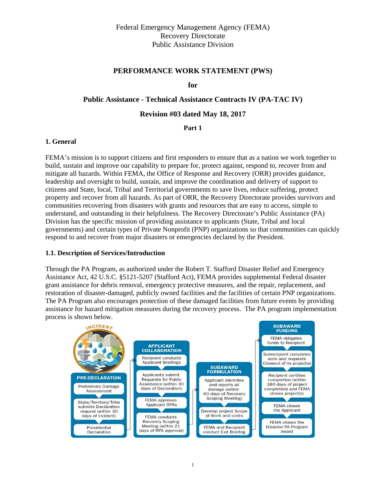## **PERFORMANCE WORK STATEMENT (PWS)**

**for** 

### **Public Assistance - Technical Assistance Contracts IV (PA-TAC IV)**

#### **Revision #03 dated May 18, 2017**

**Part 1** 

#### **1. General**

FEMA's mission is to support citizens and first responders to ensure that as a nation we work together to build, sustain and improve our capability to prepare for, protect against, respond to, recover from and mitigate all hazards. Within FEMA, the Office of Response and Recovery (ORR) provides guidance, leadership and oversight to build, sustain, and improve the coordination and delivery of support to citizens and State, local, Tribal and Territorial governments to save lives, reduce suffering, protect property and recover from all hazards. As part of ORR, the Recovery Directorate provides survivors and communities recovering from disasters with grants and resources that are easy to access, simple to understand, and outstanding in their helpfulness. The Recovery Directorate's Public Assistance (PA) Division has the specific mission of providing assistance to applicants (State, Tribal and local governments) and certain types of Private Nonprofit (PNP) organizations so that communities can quickly respond to and recover from major disasters or emergencies declared by the President.

#### **1.1. Description of Services/Introduction**

Through the PA Program, as authorized under the Robert T. Stafford Disaster Relief and Emergency Assistance Act, 42 U.S.C. §5121-5207 (Stafford Act), FEMA provides supplemental Federal disaster grant assistance for debris removal, emergency protective measures, and the repair, replacement, and restoration of disaster-damaged, publicly owned facilities and the facilities of certain PNP organizations. The PA Program also encourages protection of these damaged facilities from future events by providing assistance for hazard mitigation measures during the recovery process. The PA program implementation process is shown below.

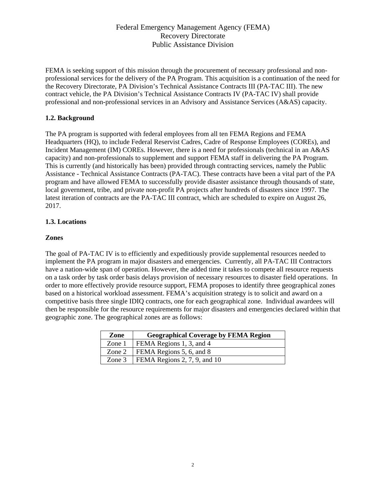FEMA is seeking support of this mission through the procurement of necessary professional and nonprofessional services for the delivery of the PA Program. This acquisition is a continuation of the need for the Recovery Directorate, PA Division's Technical Assistance Contracts III (PA-TAC III). The new contract vehicle, the PA Division's Technical Assistance Contracts IV (PA-TAC IV) shall provide professional and non-professional services in an Advisory and Assistance Services (A&AS) capacity.

## **1.2. Background**

The PA program is supported with federal employees from all ten FEMA Regions and FEMA Headquarters (HQ), to include Federal Reservist Cadres, Cadre of Response Employees (COREs), and Incident Management (IM) COREs. However, there is a need for professionals (technical in an A&AS capacity) and non-professionals to supplement and support FEMA staff in delivering the PA Program. This is currently (and historically has been) provided through contracting services, namely the Public Assistance - Technical Assistance Contracts (PA-TAC). These contracts have been a vital part of the PA program and have allowed FEMA to successfully provide disaster assistance through thousands of state, local government, tribe, and private non-profit PA projects after hundreds of disasters since 1997. The latest iteration of contracts are the PA-TAC III contract, which are scheduled to expire on August 26, 2017.

## **1.3. Locations**

## **Zones**

The goal of PA-TAC IV is to efficiently and expeditiously provide supplemental resources needed to implement the PA program in major disasters and emergencies. Currently, all PA-TAC III Contractors have a nation-wide span of operation. However, the added time it takes to compete all resource requests on a task order by task order basis delays provision of necessary resources to disaster field operations. In order to more effectively provide resource support, FEMA proposes to identify three geographical zones based on a historical workload assessment. FEMA's acquisition strategy is to solicit and award on a competitive basis three single IDIQ contracts, one for each geographical zone. Individual awardees will then be responsible for the resource requirements for major disasters and emergencies declared within that geographic zone. The geographical zones are as follows:

| Zone   | <b>Geographical Coverage by FEMA Region</b> |  |
|--------|---------------------------------------------|--|
| Zone 1 | FEMA Regions 1, 3, and 4                    |  |
| Zone 2 | FEMA Regions 5, 6, and 8                    |  |
| Zone 3 | FEMA Regions 2, 7, 9, and 10                |  |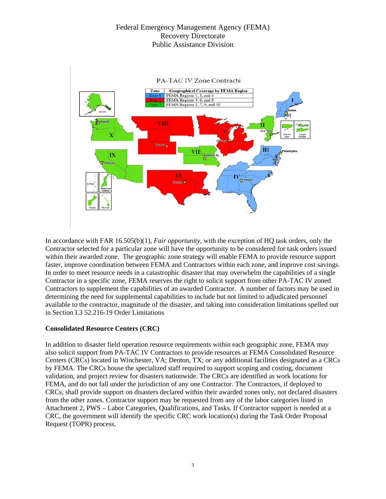

In accordance with FAR 16.505(b)(1), *Fair opportunity*, with the exception of HQ task orders, only the Contractor selected for a particular zone will have the opportunity to be considered for task orders issued within their awarded zone. The geographic zone strategy will enable FEMA to provide resource support faster, improve coordination between FEMA and Contractors within each zone, and improve cost savings. In order to meet resource needs in a catastrophic disaster that may overwhelm the capabilities of a single Contractor in a specific zone, FEMA reserves the right to solicit support from other PA-TAC IV zoned Contractors to supplement the capabilities of an awarded Contractor. A number of factors may be used in determining the need for supplemental capabilities to include but not limited to adjudicated personnel available to the contractor, magnitude of the disaster, and taking into consideration limitations spelled out in Section I.3 52.216-19 Order Limitations

### **Consolidated Resource Centers (CRC)**

In addition to disaster field operation resource requirements within each geographic zone, FEMA may also solicit support from PA-TAC IV Contractors to provide resources at FEMA Consolidated Resource Centers (CRCs) located in Winchester, VA; Denton, TX; or any additional facilities designated as a CRCs by FEMA. The CRCs house the specialized staff required to support scoping and costing, document validation, and project review for disasters nationwide. The CRCs are identified as work locations for FEMA, and do not fall under the jurisdiction of any one Contractor. The Contractors, if deployed to CRCs, shall provide support on disasters declared within their awarded zones only, not declared disasters from the other zones. Contractor support may be requested from any of the labor categories listed in Attachment 2, PWS – Labor Categories, Qualifications, and Tasks. If Contractor support is needed at a CRC, the government will identify the specific CRC work location(s) during the Task Order Proposal Request (TOPR) process.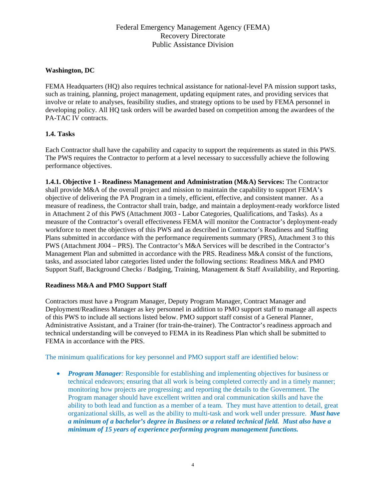### **Washington, DC**

FEMA Headquarters (HQ) also requires technical assistance for national-level PA mission support tasks, such as training, planning, project management, updating equipment rates, and providing services that involve or relate to analyses, feasibility studies, and strategy options to be used by FEMA personnel in developing policy. All HQ task orders will be awarded based on competition among the awardees of the PA-TAC IV contracts.

## **1.4. Tasks**

Each Contractor shall have the capability and capacity to support the requirements as stated in this PWS. The PWS requires the Contractor to perform at a level necessary to successfully achieve the following performance objectives.

**1.4.1. Objective 1 - Readiness Management and Administration (M&A) Services:** The Contractor shall provide M&A of the overall project and mission to maintain the capability to support FEMA's objective of delivering the PA Program in a timely, efficient, effective, and consistent manner. As a measure of readiness, the Contractor shall train, badge, and maintain a deployment-ready workforce listed in Attachment 2 of this PWS (Attachment J003 - Labor Categories, Qualifications, and Tasks). As a measure of the Contractor's overall effectiveness FEMA will monitor the Contractor's deployment-ready workforce to meet the objectives of this PWS and as described in Contractor's Readiness and Staffing Plans submitted in accordance with the performance requirements summary (PRS), Attachment 3 to this PWS (Attachment J004 – PRS). The Contractor's M&A Services will be described in the Contractor's Management Plan and submitted in accordance with the PRS. Readiness M&A consist of the functions, tasks, and associated labor categories listed under the following sections: Readiness M&A and PMO Support Staff, Background Checks / Badging, Training, Management & Staff Availability, and Reporting.

### **Readiness M&A and PMO Support Staff**

Contractors must have a Program Manager, Deputy Program Manager, Contract Manager and Deployment/Readiness Manager as key personnel in addition to PMO support staff to manage all aspects of this PWS to include all sections listed below. PMO support staff consist of a General Planner, Administrative Assistant, and a Trainer (for train-the-trainer). The Contractor's readiness approach and technical understanding will be conveyed to FEMA in its Readiness Plan which shall be submitted to FEMA in accordance with the PRS.

The minimum qualifications for key personnel and PMO support staff are identified below:

• *Program Manager*: Responsible for establishing and implementing objectives for business or technical endeavors; ensuring that all work is being completed correctly and in a timely manner; monitoring how projects are progressing; and reporting the details to the Government. The Program manager should have excellent written and oral communication skills and have the ability to both lead and function as a member of a team. They must have attention to detail, great organizational skills, as well as the ability to multi-task and work well under pressure. *Must have a minimum of a bachelor's degree in Business or a related technical field. Must also have a minimum of 15 years of experience performing program management functions.*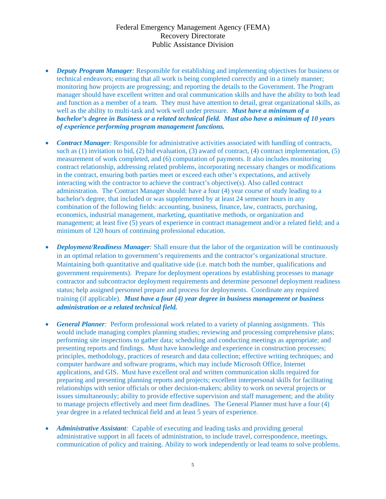- *Deputy Program Manager:* Responsible for establishing and implementing objectives for business or technical endeavors; ensuring that all work is being completed correctly and in a timely manner; monitoring how projects are progressing; and reporting the details to the Government. The Program manager should have excellent written and oral communication skills and have the ability to both lead and function as a member of a team. They must have attention to detail, great organizational skills, as well as the ability to multi-task and work well under pressure. *Must have a minimum of a bachelor's degree in Business or a related technical field. Must also have a minimum of 10 years of experience performing program management functions.*
- *Contract Manager*: Responsible for administrative activities associated with handling of contracts, such as (1) invitation to bid, (2) bid evaluation, (3) award of contract, (4) contract implementation, (5) measurement of work completed, and (6) computation of payments. It also includes monitoring contract relationship, addressing related problems, incorporating necessary changes or modifications in the contract, ensuring both parties meet or exceed each other's expectations, and actively interacting with the contractor to achieve the contract's objective(s). Also called contract administration. The Contract Manager should: have a four (4) year course of study leading to a bachelor's degree, that included or was supplemented by at least 24 semester hours in any combination of the following fields: accounting, business, finance, law, contracts, purchasing, economics, industrial management, marketing, quantitative methods, or organization and management; at least five (5) years of experience in contract management and/or a related field; and a minimum of 120 hours of continuing professional education.
- *Deployment/Readiness Manager:* Shall ensure that the labor of the organization will be continuously in an optimal relation to government's requirements and the contractor's organizational structure. Maintaining both quantitative and qualitative side (i.e. match both the number, qualifications and government requirements). Prepare for deployment operations by establishing processes to manage contractor and subcontractor deployment requirements and determine personnel deployment readiness status; help assigned personnel prepare and process for deployments. Coordinate any required training (if applicable). *Must have a four (4) year degree in business management or business administration or a related technical field.*
- *General Planner*: Perform professional work related to a variety of planning assignments. This would include managing complex planning studies; reviewing and processing comprehensive plans; performing site inspections to gather data; scheduling and conducting meetings as appropriate; and presenting reports and findings. Must have knowledge and experience in construction processes; principles, methodology, practices of research and data collection; effective writing techniques; and computer hardware and software programs, which may include Microsoft Office, Internet applications, and GIS. Must have excellent oral and written communication skills required for preparing and presenting planning reports and projects; excellent interpersonal skills for facilitating relationships with senior officials or other decision-makers; ability to work on several projects or issues simultaneously; ability to provide effective supervision and staff management; and the ability to manage projects effectively and meet firm deadlines. The General Planner must have a four (4) year degree in a related technical field and at least 5 years of experience.
- *Administrative Assistant:* Capable of executing and leading tasks and providing general administrative support in all facets of administration, to include travel, correspondence, meetings, communication of policy and training. Ability to work independently or lead teams to solve problems.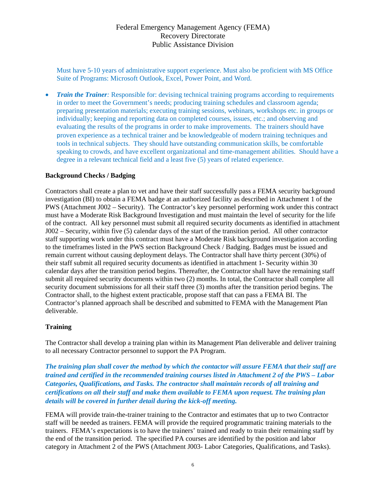Must have 5-10 years of administrative support experience. Must also be proficient with MS Office Suite of Programs: Microsoft Outlook, Excel, Power Point, and Word.

*Train the Trainer*: Responsible for: devising technical training programs according to requirements in order to meet the Government's needs; producing training schedules and classroom agenda; preparing presentation materials; executing training sessions, webinars, workshops etc. in groups or individually; keeping and reporting data on completed courses, issues, etc.; and observing and evaluating the results of the programs in order to make improvements. The trainers should have proven experience as a technical trainer and be knowledgeable of modern training techniques and tools in technical subjects. They should have outstanding communication skills, be comfortable speaking to crowds, and have excellent organizational and time-management abilities. Should have a degree in a relevant technical field and a least five (5) years of related experience.

### **Background Checks / Badging**

Contractors shall create a plan to vet and have their staff successfully pass a FEMA security background investigation (BI) to obtain a FEMA badge at an authorized facility as described in Attachment 1 of the PWS (Attachment J002 – Security). The Contractor's key personnel performing work under this contract must have a Moderate Risk Background Investigation and must maintain the level of security for the life of the contract. All key personnel must submit all required security documents as identified in attachment J002 – Security, within five (5) calendar days of the start of the transition period. All other contractor staff supporting work under this contract must have a Moderate Risk background investigation according to the timeframes listed in the PWS section Background Check / Badging. Badges must be issued and remain current without causing deployment delays. The Contractor shall have thirty percent (30%) of their staff submit all required security documents as identified in attachment 1- Security within 30 calendar days after the transition period begins. Thereafter, the Contractor shall have the remaining staff submit all required security documents within two (2) months. In total, the Contractor shall complete all security document submissions for all their staff three (3) months after the transition period begins. The Contractor shall, to the highest extent practicable, propose staff that can pass a FEMA BI. The Contractor's planned approach shall be described and submitted to FEMA with the Management Plan deliverable.

### **Training**

The Contractor shall develop a training plan within its Management Plan deliverable and deliver training to all necessary Contractor personnel to support the PA Program.

*The training plan shall cover the method by which the contactor will assure FEMA that their staff are trained and certified in the recommended training courses listed in Attachment 2 of the PWS – Labor Categories, Qualifications, and Tasks. The contractor shall maintain records of all training and certifications on all their staff and make them available to FEMA upon request. The training plan details will be covered in further detail during the kick-off meeting.* 

FEMA will provide train-the-trainer training to the Contractor and estimates that up to two Contractor staff will be needed as trainers. FEMA will provide the required programmatic training materials to the trainers. FEMA's expectations is to have the trainers' trained and ready to train their remaining staff by the end of the transition period. The specified PA courses are identified by the position and labor category in Attachment 2 of the PWS (Attachment J003- Labor Categories, Qualifications, and Tasks).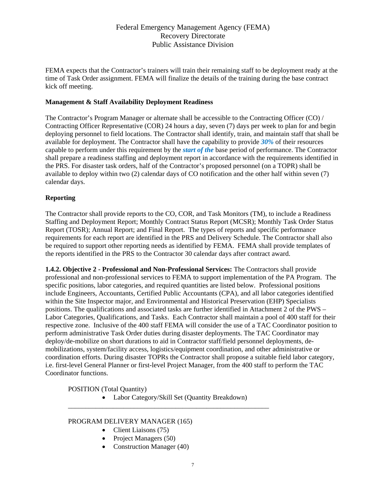FEMA expects that the Contractor's trainers will train their remaining staff to be deployment ready at the time of Task Order assignment. FEMA will finalize the details of the training during the base contract kick off meeting.

### **Management & Staff Availability Deployment Readiness**

The Contractor's Program Manager or alternate shall be accessible to the Contracting Officer (CO) / Contracting Officer Representative (COR) 24 hours a day, seven (7) days per week to plan for and begin deploying personnel to field locations. The Contractor shall identify, train, and maintain staff that shall be available for deployment. The Contractor shall have the capability to provide *30%* of their resources capable to perform under this requirement by the *start of the* base period of performance. The Contractor shall prepare a readiness staffing and deployment report in accordance with the requirements identified in the PRS. For disaster task orders, half of the Contractor's proposed personnel (on a TOPR) shall be available to deploy within two (2) calendar days of CO notification and the other half within seven (7) calendar days.

## **Reporting**

The Contractor shall provide reports to the CO, COR, and Task Monitors (TM), to include a Readiness Staffing and Deployment Report; Monthly Contract Status Report (MCSR); Monthly Task Order Status Report (TOSR); Annual Report; and Final Report. The types of reports and specific performance requirements for each report are identified in the PRS and Delivery Schedule. The Contractor shall also be required to support other reporting needs as identified by FEMA. FEMA shall provide templates of the reports identified in the PRS to the Contractor 30 calendar days after contract award.

**1.4.2. Objective 2 - Professional and Non-Professional Services:** The Contractors shall provide professional and non-professional services to FEMA to support implementation of the PA Program. The specific positions, labor categories, and required quantities are listed below. Professional positions include Engineers, Accountants, Certified Public Accountants (CPA), and all labor categories identified within the Site Inspector major, and Environmental and Historical Preservation (EHP) Specialists positions. The qualifications and associated tasks are further identified in Attachment 2 of the PWS – Labor Categories, Qualifications, and Tasks. Each Contractor shall maintain a pool of 400 staff for their respective zone. Inclusive of the 400 staff FEMA will consider the use of a TAC Coordinator position to perform administrative Task Order duties during disaster deployments. The TAC Coordinator may deploy/de-mobilize on short durations to aid in Contractor staff/field personnel deployments, demobilizations, system/facility access, logistics/equipment coordination, and other administrative or coordination efforts. During disaster TOPRs the Contractor shall propose a suitable field labor category, i.e. first-level General Planner or first-level Project Manager, from the 400 staff to perform the TAC Coordinator functions.

POSITION (Total Quantity)

• Labor Category/Skill Set (Quantity Breakdown)

\_\_\_\_\_\_\_\_\_\_\_\_\_\_\_\_\_\_\_\_\_\_\_\_\_\_\_\_\_\_\_\_\_\_\_\_\_\_\_\_\_\_\_\_\_\_\_\_\_\_\_\_\_\_\_\_\_\_

### PROGRAM DELIVERY MANAGER (165)

- Client Liaisons (75)
- Project Managers (50)
- Construction Manager (40)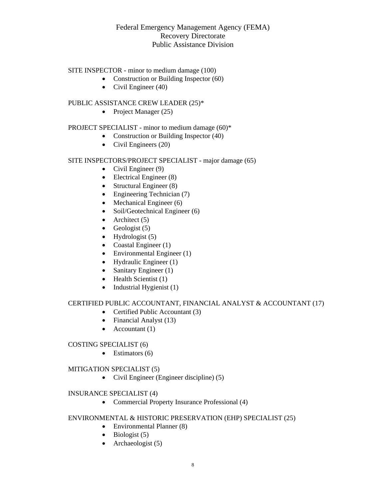### SITE INSPECTOR - minor to medium damage (100)

- Construction or Building Inspector (60)
- Civil Engineer  $(40)$

#### PUBLIC ASSISTANCE CREW LEADER (25)\*

• Project Manager  $(25)$ 

### PROJECT SPECIALIST - minor to medium damage (60)\*

- Construction or Building Inspector (40)
- Civil Engineers (20)

#### SITE INSPECTORS/PROJECT SPECIALIST - major damage (65)

- Civil Engineer  $(9)$
- $\bullet$  Electrical Engineer (8)
- Structural Engineer  $(8)$
- Engineering Technician (7)
- $\bullet$  Mechanical Engineer (6)
- $\bullet$  Soil/Geotechnical Engineer (6)
- Architect  $(5)$
- Geologist  $(5)$
- $\bullet$  Hydrologist (5)
- Coastal Engineer (1)
- Environmental Engineer (1)
- $\bullet$  Hydraulic Engineer (1)
- Sanitary Engineer (1)
- $\bullet$  Health Scientist (1)
- $\bullet$  Industrial Hygienist (1)

### CERTIFIED PUBLIC ACCOUNTANT, FINANCIAL ANALYST & ACCOUNTANT (17)

- Certified Public Accountant (3)
- Financial Analyst (13)
- Accountant  $(1)$

#### COSTING SPECIALIST (6)

 $\bullet$  Estimators (6)

#### MITIGATION SPECIALIST (5)

Civil Engineer (Engineer discipline) (5)

#### INSURANCE SPECIALIST (4)

• Commercial Property Insurance Professional (4)

## ENVIRONMENTAL & HISTORIC PRESERVATION (EHP) SPECIALIST (25)

- Environmental Planner (8)
- $\bullet$  Biologist (5)
- Archaeologist  $(5)$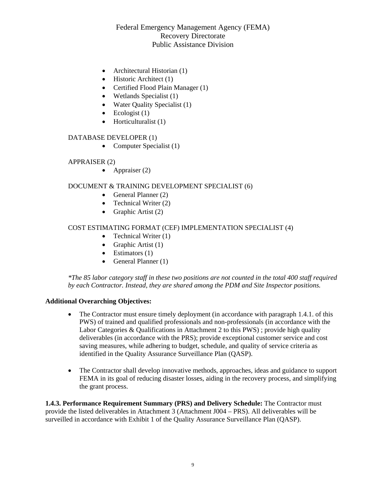- Architectural Historian (1)
- $\bullet$  Historic Architect (1)
- Certified Flood Plain Manager (1)
- $\bullet$  Wetlands Specialist (1)
- Water Quality Specialist (1)
- $\bullet$  Ecologist (1)
- $\bullet$  Horticulturalist (1)

### DATABASE DEVELOPER (1)

• Computer Specialist  $(1)$ 

### APPRAISER (2)

• Appraiser  $(2)$ 

### DOCUMENT & TRAINING DEVELOPMENT SPECIALIST (6)

- General Planner  $(2)$
- Technical Writer  $(2)$
- Graphic Artist  $(2)$

## COST ESTIMATING FORMAT (CEF) IMPLEMENTATION SPECIALIST (4)

- Technical Writer  $(1)$
- Graphic Artist  $(1)$
- $\bullet$  Estimators (1)
- General Planner  $(1)$

*\*The 85 labor category staff in these two positions are not counted in the total 400 staff required by each Contractor. Instead, they are shared among the PDM and Site Inspector positions.* 

### **Additional Overarching Objectives:**

- The Contractor must ensure timely deployment (in accordance with paragraph 1.4.1. of this PWS) of trained and qualified professionals and non-professionals (in accordance with the Labor Categories & Qualifications in Attachment 2 to this PWS) ; provide high quality deliverables (in accordance with the PRS); provide exceptional customer service and cost saving measures, while adhering to budget, schedule, and quality of service criteria as identified in the Quality Assurance Surveillance Plan (QASP).
- The Contractor shall develop innovative methods, approaches, ideas and guidance to support FEMA in its goal of reducing disaster losses, aiding in the recovery process, and simplifying the grant process.

**1.4.3. Performance Requirement Summary (PRS) and Delivery Schedule:** The Contractor must provide the listed deliverables in Attachment 3 (Attachment J004 – PRS). All deliverables will be surveilled in accordance with Exhibit 1 of the Quality Assurance Surveillance Plan (QASP).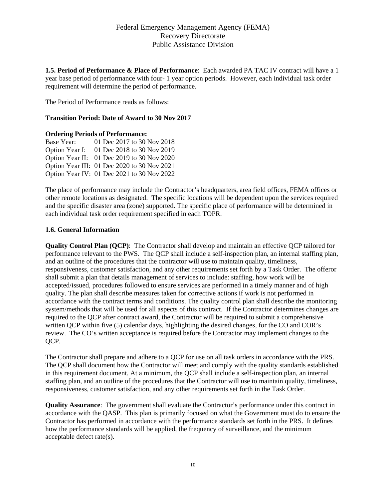**1.5. Period of Performance & Place of Performance**: Each awarded PA TAC IV contract will have a 1 year base period of performance with four- 1 year option periods. However, each individual task order requirement will determine the period of performance.

The Period of Performance reads as follows:

### **Transition Period: Date of Award to 30 Nov 2017**

#### **Ordering Periods of Performance:**

Base Year: 01 Dec 2017 to 30 Nov 2018 Option Year I: 01 Dec 2018 to 30 Nov 2019 Option Year II: 01 Dec 2019 to 30 Nov 2020 Option Year III: 01 Dec 2020 to 30 Nov 2021 Option Year IV: 01 Dec 2021 to 30 Nov 2022

The place of performance may include the Contractor's headquarters, area field offices, FEMA offices or other remote locations as designated. The specific locations will be dependent upon the services required and the specific disaster area (zone) supported. The specific place of performance will be determined in each individual task order requirement specified in each TOPR.

#### **1.6. General Information**

**Quality Control Plan (QCP)**: The Contractor shall develop and maintain an effective QCP tailored for performance relevant to the PWS. The QCP shall include a self-inspection plan, an internal staffing plan, and an outline of the procedures that the contractor will use to maintain quality, timeliness, responsiveness, customer satisfaction, and any other requirements set forth by a Task Order. The offeror shall submit a plan that details management of services to include: staffing, how work will be accepted/issued, procedures followed to ensure services are performed in a timely manner and of high quality. The plan shall describe measures taken for corrective actions if work is not performed in accordance with the contract terms and conditions. The quality control plan shall describe the monitoring system/methods that will be used for all aspects of this contract. If the Contractor determines changes are required to the QCP after contract award, the Contractor will be required to submit a comprehensive written QCP within five (5) calendar days, highlighting the desired changes, for the CO and COR's review. The CO's written acceptance is required before the Contractor may implement changes to the OCP.

The Contractor shall prepare and adhere to a QCP for use on all task orders in accordance with the PRS. The QCP shall document how the Contractor will meet and comply with the quality standards established in this requirement document. At a minimum, the QCP shall include a self-inspection plan, an internal staffing plan, and an outline of the procedures that the Contractor will use to maintain quality, timeliness, responsiveness, customer satisfaction, and any other requirements set forth in the Task Order.

**Quality Assurance**: The government shall evaluate the Contractor's performance under this contract in accordance with the QASP. This plan is primarily focused on what the Government must do to ensure the Contractor has performed in accordance with the performance standards set forth in the PRS. It defines how the performance standards will be applied, the frequency of surveillance, and the minimum acceptable defect rate(s).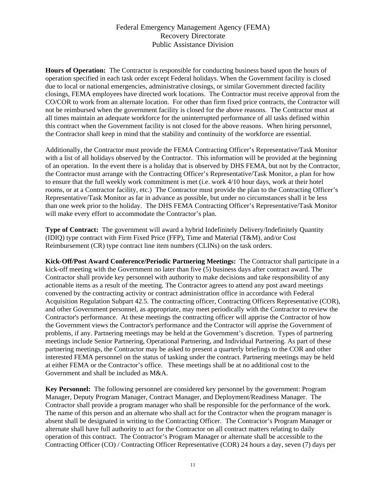**Hours of Operation:** The Contractor is responsible for conducting business based upon the hours of operation specified in each task order except Federal holidays. When the Government facility is closed due to local or national emergencies, administrative closings, or similar Government directed facility closings, FEMA employees have directed work locations. The Contractor must receive approval from the CO/COR to work from an alternate location. For other than firm fixed price contracts, the Contractor will not be reimbursed when the government facility is closed for the above reasons. The Contractor must at all times maintain an adequate workforce for the uninterrupted performance of all tasks defined within this contract when the Government facility is not closed for the above reasons. When hiring personnel, the Contractor shall keep in mind that the stability and continuity of the workforce are essential.

Additionally, the Contractor must provide the FEMA Contracting Officer's Representative/Task Monitor with a list of all holidays observed by the Contractor. This information will be provided at the beginning of an operation. In the event there is a holiday that is observed by DHS FEMA, but not by the Contractor, the Contractor must arrange with the Contracting Officer's Representative/Task Monitor, a plan for how to ensure that the full weekly work commitment is met (i.e. work 4/10 hour days, work at their hotel rooms, or at a Contractor facility, etc.) The Contractor must provide the plan to the Contracting Officer's Representative/Task Monitor as far in advance as possible, but under no circumstances shall it be less than one week prior to the holiday. The DHS FEMA Contracting Officer's Representative/Task Monitor will make every effort to accommodate the Contractor's plan.

**Type of Contract:** The government will award a hybrid Indefinitely Delivery/Indefinitely Quantity (IDIQ) type contract with Firm Fixed Price (FFP), Time and Material (T&M), and/or Cost Reimbursement (CR) type contract line item numbers (CLINs) on the task orders.

**Kick-Off/Post Award Conference/Periodic Partnering Meetings:** The Contractor shall participate in a kick-off meeting with the Government no later than five (5) business days after contract award. The Contractor shall provide key personnel with authority to make decisions and take responsibility of any actionable items as a result of the meeting. The Contractor agrees to attend any post award meetings convened by the contracting activity or contract administration office in accordance with Federal Acquisition Regulation Subpart 42.5. The contracting officer, Contracting Officers Representative (COR), and other Government personnel, as appropriate, may meet periodically with the Contractor to review the Contractor's performance. At these meetings the contracting officer will apprise the Contractor of how the Government views the Contractor's performance and the Contractor will apprise the Government of problems, if any. Partnering meetings may be held at the Government's discretion. Types of partnering meetings include Senior Partnering, Operational Partnering, and Individual Partnering. As part of these partnering meetings, the Contractor may be asked to present a quarterly briefings to the COR and other interested FEMA personnel on the status of tasking under the contract. Partnering meetings may be held at either FEMA or the Contractor's office. These meetings shall be at no additional cost to the Government and shall be included as M&A.

**Key Personnel:** The following personnel are considered key personnel by the government: Program Manager, Deputy Program Manager, Contract Manager, and Deployment/Readiness Manager. The Contractor shall provide a program manager who shall be responsible for the performance of the work. The name of this person and an alternate who shall act for the Contractor when the program manager is absent shall be designated in writing to the Contracting Officer. The Contractor's Program Manager or alternate shall have full authority to act for the Contractor on all contract matters relating to daily operation of this contract. The Contractor's Program Manager or alternate shall be accessible to the Contracting Officer (CO) / Contracting Officer Representative (COR) 24 hours a day, seven (7) days per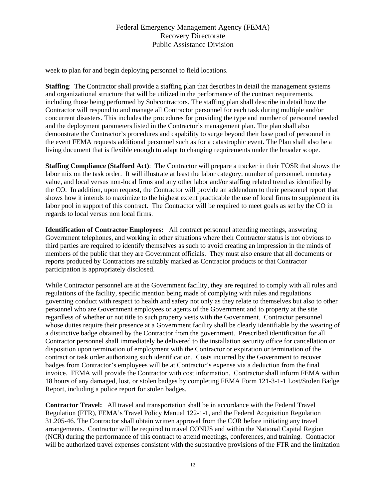week to plan for and begin deploying personnel to field locations.

**Staffing**: The Contractor shall provide a staffing plan that describes in detail the management systems and organizational structure that will be utilized in the performance of the contract requirements, including those being performed by Subcontractors. The staffing plan shall describe in detail how the Contractor will respond to and manage all Contractor personnel for each task during multiple and/or concurrent disasters. This includes the procedures for providing the type and number of personnel needed and the deployment parameters listed in the Contractor's management plan. The plan shall also demonstrate the Contractor's procedures and capability to surge beyond their base pool of personnel in the event FEMA requests additional personnel such as for a catastrophic event. The Plan shall also be a living document that is flexible enough to adapt to changing requirements under the broader scope.

**Staffing Compliance (Stafford Act)**: The Contractor will prepare a tracker in their TOSR that shows the labor mix on the task order. It will illustrate at least the labor category, number of personnel, monetary value, and local versus non-local firms and any other labor and/or staffing related trend as identified by the CO. In addition, upon request, the Contractor will provide an addendum to their personnel report that shows how it intends to maximize to the highest extent practicable the use of local firms to supplement its labor pool in support of this contract. The Contractor will be required to meet goals as set by the CO in regards to local versus non local firms.

**Identification of Contractor Employees:** All contract personnel attending meetings, answering Government telephones, and working in other situations where their Contractor status is not obvious to third parties are required to identify themselves as such to avoid creating an impression in the minds of members of the public that they are Government officials. They must also ensure that all documents or reports produced by Contractors are suitably marked as Contractor products or that Contractor participation is appropriately disclosed.

While Contractor personnel are at the Government facility, they are required to comply with all rules and regulations of the facility, specific mention being made of complying with rules and regulations governing conduct with respect to health and safety not only as they relate to themselves but also to other personnel who are Government employees or agents of the Government and to property at the site regardless of whether or not title to such property vests with the Government. Contractor personnel whose duties require their presence at a Government facility shall be clearly identifiable by the wearing of a distinctive badge obtained by the Contractor from the government. Prescribed identification for all Contractor personnel shall immediately be delivered to the installation security office for cancellation or disposition upon termination of employment with the Contractor or expiration or termination of the contract or task order authorizing such identification. Costs incurred by the Government to recover badges from Contractor's employees will be at Contractor's expense via a deduction from the final invoice. FEMA will provide the Contractor with cost information. Contractor shall inform FEMA within 18 hours of any damaged, lost, or stolen badges by completing FEMA Form 121-3-1-1 Lost/Stolen Badge Report, including a police report for stolen badges.

**Contractor Travel:** All travel and transportation shall be in accordance with the Federal Travel Regulation (FTR), FEMA's Travel Policy Manual 122-1-1, and the Federal Acquisition Regulation 31.205-46. The Contractor shall obtain written approval from the COR before initiating any travel arrangements. Contractor will be required to travel CONUS and within the National Capital Region (NCR) during the performance of this contract to attend meetings, conferences, and training. Contractor will be authorized travel expenses consistent with the substantive provisions of the FTR and the limitation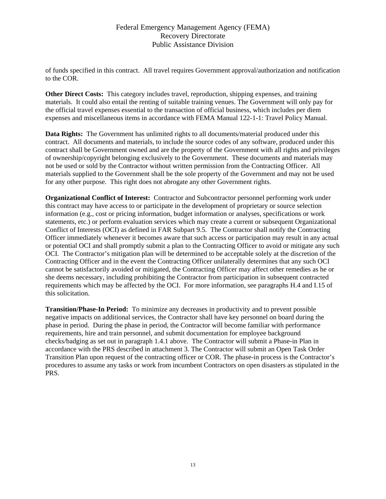of funds specified in this contract. All travel requires Government approval/authorization and notification to the COR.

**Other Direct Costs:** This category includes travel, reproduction, shipping expenses, and training materials. It could also entail the renting of suitable training venues. The Government will only pay for the official travel expenses essential to the transaction of official business, which includes per diem expenses and miscellaneous items in accordance with FEMA Manual 122-1-1: Travel Policy Manual.

**Data Rights:** The Government has unlimited rights to all documents/material produced under this contract. All documents and materials, to include the source codes of any software, produced under this contract shall be Government owned and are the property of the Government with all rights and privileges of ownership/copyright belonging exclusively to the Government. These documents and materials may not be used or sold by the Contractor without written permission from the Contracting Officer. All materials supplied to the Government shall be the sole property of the Government and may not be used for any other purpose. This right does not abrogate any other Government rights.

**Organizational Conflict of Interest:** Contractor and Subcontractor personnel performing work under this contract may have access to or participate in the development of proprietary or source selection information (e.g., cost or pricing information, budget information or analyses, specifications or work statements, etc.) or perform evaluation services which may create a current or subsequent Organizational Conflict of Interests (OCI) as defined in FAR Subpart 9.5. The Contractor shall notify the Contracting Officer immediately whenever it becomes aware that such access or participation may result in any actual or potential OCI and shall promptly submit a plan to the Contracting Officer to avoid or mitigate any such OCI. The Contractor's mitigation plan will be determined to be acceptable solely at the discretion of the Contracting Officer and in the event the Contracting Officer unilaterally determines that any such OCI cannot be satisfactorily avoided or mitigated, the Contracting Officer may affect other remedies as he or she deems necessary, including prohibiting the Contractor from participation in subsequent contracted requirements which may be affected by the OCI. For more information, see paragraphs H.4 and I.15 of this solicitation.

**Transition/Phase-In Period:** To minimize any decreases in productivity and to prevent possible negative impacts on additional services, the Contractor shall have key personnel on board during the phase in period. During the phase in period, the Contractor will become familiar with performance requirements, hire and train personnel, and submit documentation for employee background checks/badging as set out in paragraph 1.4.1 above. The Contractor will submit a Phase-in Plan in accordance with the PRS described in attachment 3. The Contractor will submit an Open Task Order Transition Plan upon request of the contracting officer or COR. The phase-in process is the Contractor's procedures to assume any tasks or work from incumbent Contractors on open disasters as stipulated in the PRS.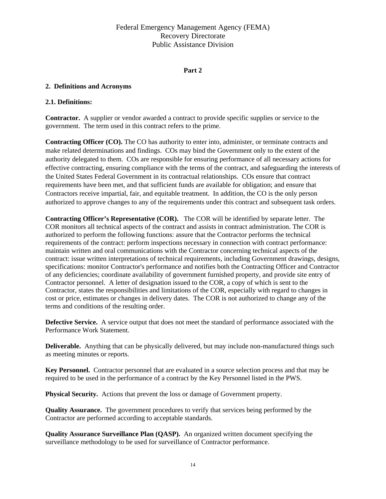#### **Part 2**

#### **2. Definitions and Acronyms**

#### **2.1. Definitions:**

**Contractor.** A supplier or vendor awarded a contract to provide specific supplies or service to the government. The term used in this contract refers to the prime.

**Contracting Officer (CO).** The CO has authority to enter into, administer, or terminate contracts and make related determinations and findings. COs may bind the Government only to the extent of the authority delegated to them. COs are responsible for ensuring performance of all necessary actions for effective contracting, ensuring compliance with the terms of the contract, and safeguarding the interests of the United States Federal Government in its contractual relationships. COs ensure that contract requirements have been met, and that sufficient funds are available for obligation; and ensure that Contractors receive impartial, fair, and equitable treatment. In addition, the CO is the only person authorized to approve changes to any of the requirements under this contract and subsequent task orders.

**Contracting Officer's Representative (COR).** The COR will be identified by separate letter. The COR monitors all technical aspects of the contract and assists in contract administration. The COR is authorized to perform the following functions: assure that the Contractor performs the technical requirements of the contract: perform inspections necessary in connection with contract performance: maintain written and oral communications with the Contractor concerning technical aspects of the contract: issue written interpretations of technical requirements, including Government drawings, designs, specifications: monitor Contractor's performance and notifies both the Contracting Officer and Contractor of any deficiencies; coordinate availability of government furnished property, and provide site entry of Contractor personnel. A letter of designation issued to the COR, a copy of which is sent to the Contractor, states the responsibilities and limitations of the COR, especially with regard to changes in cost or price, estimates or changes in delivery dates. The COR is not authorized to change any of the terms and conditions of the resulting order.

**Defective Service.** A service output that does not meet the standard of performance associated with the Performance Work Statement.

**Deliverable.** Anything that can be physically delivered, but may include non-manufactured things such as meeting minutes or reports.

**Key Personnel.** Contractor personnel that are evaluated in a source selection process and that may be required to be used in the performance of a contract by the Key Personnel listed in the PWS.

**Physical Security.** Actions that prevent the loss or damage of Government property.

**Quality Assurance.** The government procedures to verify that services being performed by the Contractor are performed according to acceptable standards.

**Quality Assurance Surveillance Plan (QASP).** An organized written document specifying the surveillance methodology to be used for surveillance of Contractor performance.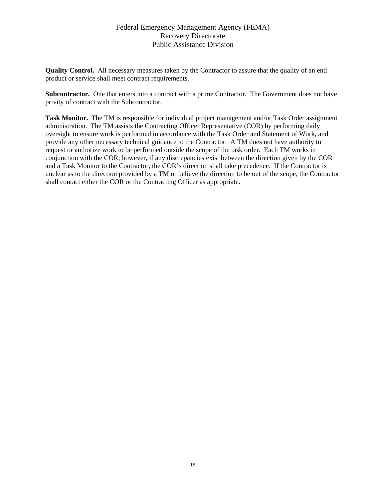**Quality Control.** All necessary measures taken by the Contractor to assure that the quality of an end product or service shall meet contract requirements.

**Subcontractor.** One that enters into a contract with a prime Contractor. The Government does not have privity of contract with the Subcontractor.

**Task Monitor.** The TM is responsible for individual project management and/or Task Order assignment administration. The TM assists the Contracting Officer Representative (COR) by performing daily oversight to ensure work is performed in accordance with the Task Order and Statement of Work, and provide any other necessary technical guidance to the Contractor. A TM does not have authority to request or authorize work to be performed outside the scope of the task order. Each TM works in conjunction with the COR; however, if any discrepancies exist between the direction given by the COR and a Task Monitor to the Contractor, the COR's direction shall take precedence. If the Contractor is unclear as to the direction provided by a TM or believe the direction to be out of the scope, the Contractor shall contact either the COR or the Contracting Officer as appropriate.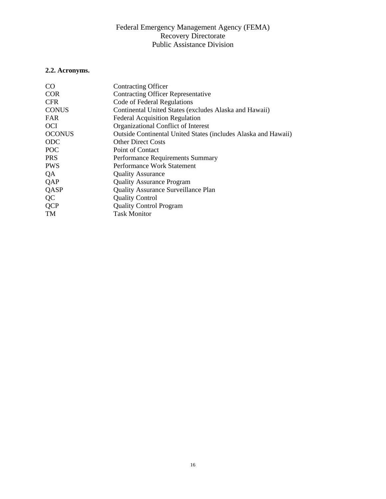# **2.2. Acronyms.**

| <b>Contracting Officer</b>                                     |
|----------------------------------------------------------------|
| <b>Contracting Officer Representative</b>                      |
| Code of Federal Regulations                                    |
| Continental United States (excludes Alaska and Hawaii)         |
| <b>Federal Acquisition Regulation</b>                          |
| Organizational Conflict of Interest                            |
| Outside Continental United States (includes Alaska and Hawaii) |
| <b>Other Direct Costs</b>                                      |
| Point of Contact                                               |
| Performance Requirements Summary                               |
| Performance Work Statement                                     |
| <b>Quality Assurance</b>                                       |
| <b>Quality Assurance Program</b>                               |
| <b>Quality Assurance Surveillance Plan</b>                     |
| <b>Quality Control</b>                                         |
| <b>Quality Control Program</b>                                 |
| <b>Task Monitor</b>                                            |
|                                                                |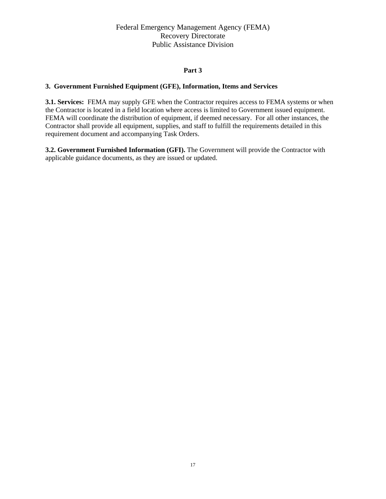### **Part 3**

### **3. Government Furnished Equipment (GFE), Information, Items and Services**

**3.1. Services:** FEMA may supply GFE when the Contractor requires access to FEMA systems or when the Contractor is located in a field location where access is limited to Government issued equipment. FEMA will coordinate the distribution of equipment, if deemed necessary. For all other instances, the Contractor shall provide all equipment, supplies, and staff to fulfill the requirements detailed in this requirement document and accompanying Task Orders.

**3.2. Government Furnished Information (GFI).** The Government will provide the Contractor with applicable guidance documents, as they are issued or updated.